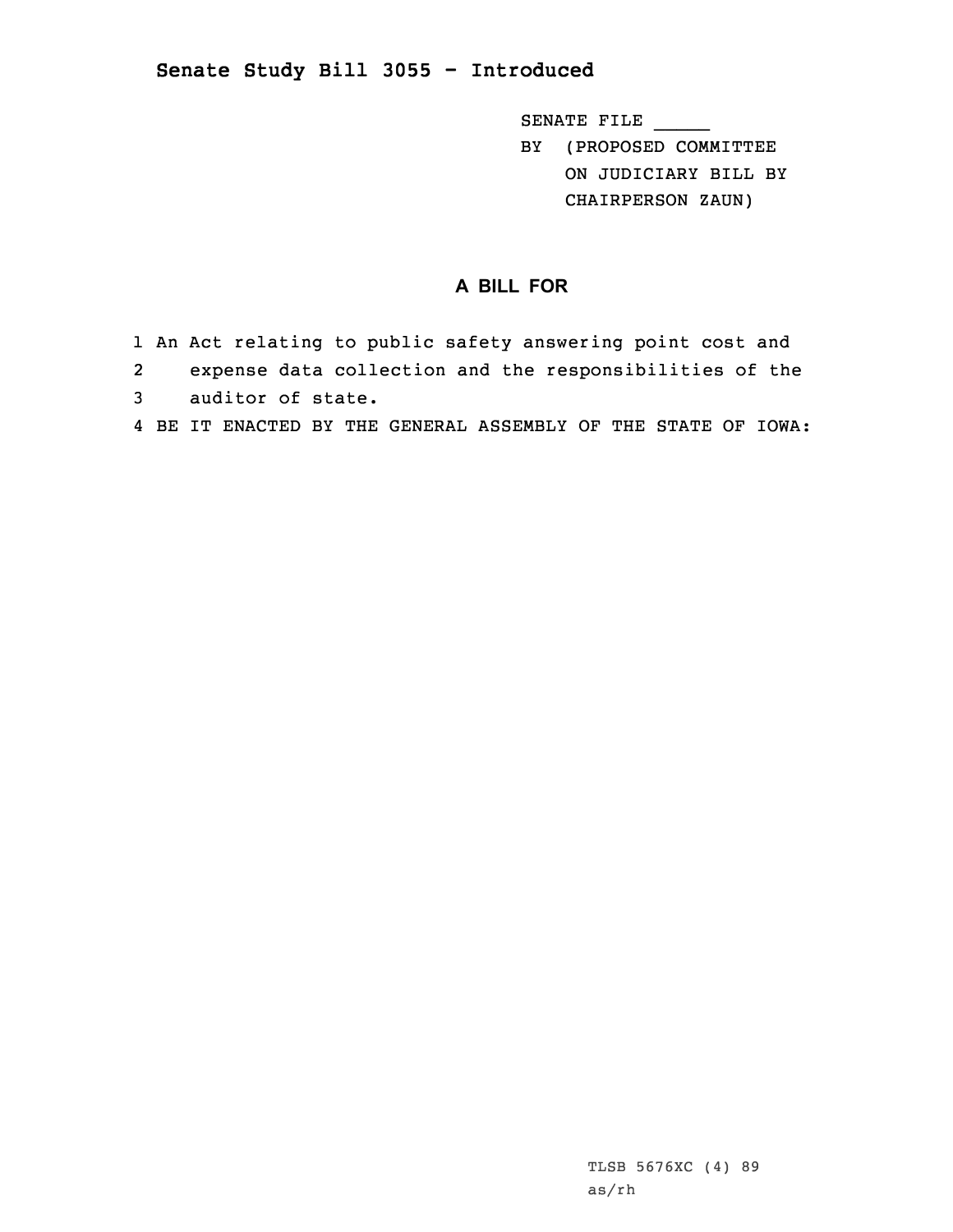## **Senate Study Bill 3055 - Introduced**

SENATE FILE \_\_\_\_\_

BY (PROPOSED COMMITTEE ON JUDICIARY BILL BY CHAIRPERSON ZAUN)

## **A BILL FOR**

| 1 An Act relating to public safety answering point cost and |
|-------------------------------------------------------------|
| 2 expense data collection and the responsibilities of the   |
| 3 auditor of state.                                         |

4 BE IT ENACTED BY THE GENERAL ASSEMBLY OF THE STATE OF IOWA:

TLSB 5676XC (4) 89 as/rh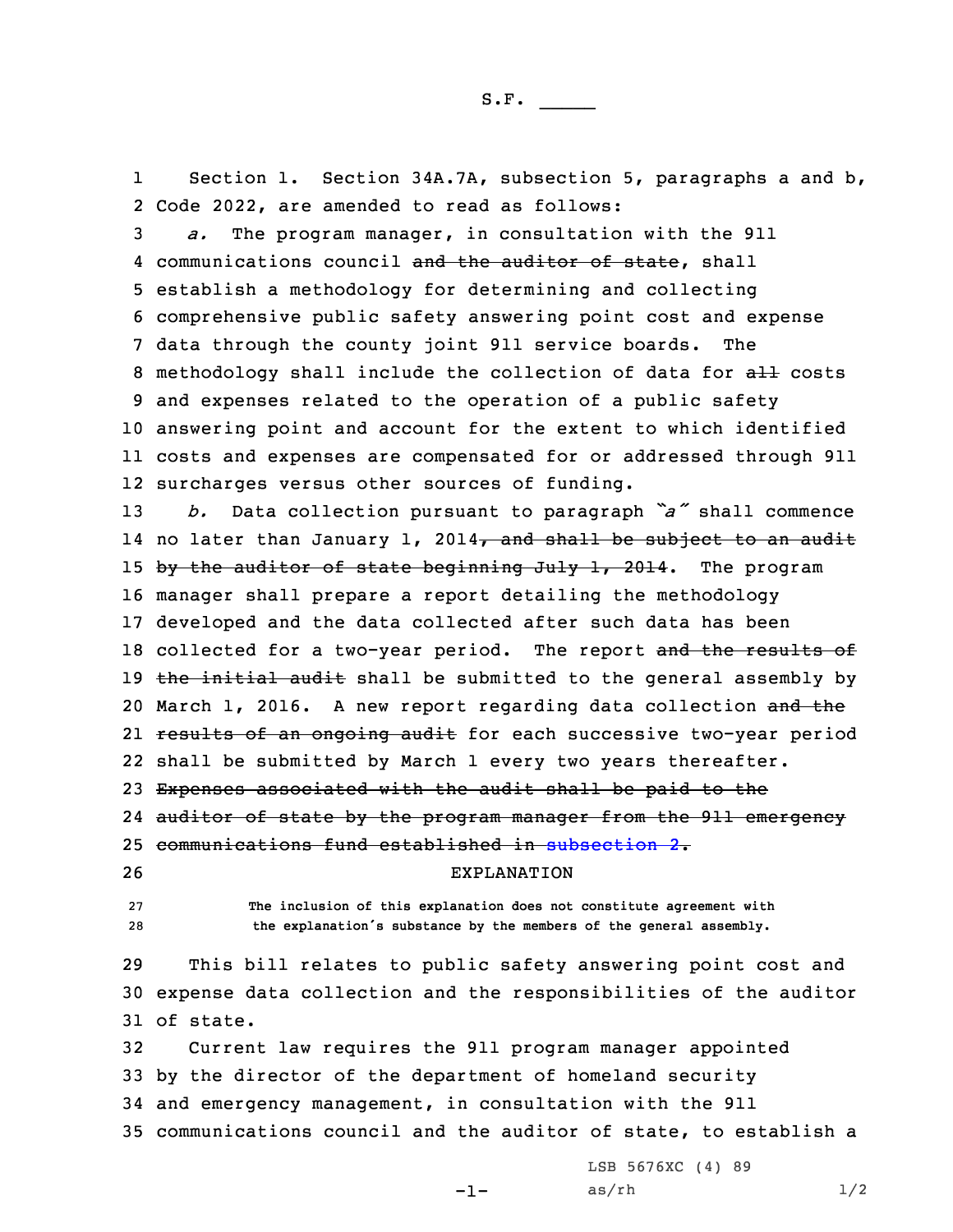1 Section 1. Section 34A.7A, subsection 5, paragraphs <sup>a</sup> and b, 2 Code 2022, are amended to read as follows:

 *a.* The program manager, in consultation with the 911 4 communications council and the auditor of state, shall establish <sup>a</sup> methodology for determining and collecting comprehensive public safety answering point cost and expense data through the county joint 911 service boards. The 8 methodology shall include the collection of data for all costs and expenses related to the operation of <sup>a</sup> public safety answering point and account for the extent to which identified costs and expenses are compensated for or addressed through 911 surcharges versus other sources of funding.

<sup>13</sup> *b.* Data collection pursuant to paragraph *"a"* shall commence 14 no later than January 1, 2014<del>, and shall be subject to an audit</del> 15 by the auditor of state beginning July 1, 2014. The program 16 manager shall prepare <sup>a</sup> report detailing the methodology 17 developed and the data collected after such data has been 18 collected for a two-year period. The report and the results of 19 the initial audit shall be submitted to the general assembly by 20 March 1, 2016. A new report regarding data collection and the 21 <del>results of an ongoing audit</del> for each successive two-year period 22 shall be submitted by March 1 every two years thereafter. 23 Expenses associated with the audit shall be paid to the

24 auditor of state by the program manager from the 911 emergency

25 communications fund established in [subsection](https://www.legis.iowa.gov/docs/code/2022/34A.7A.pdf) 2.

26 EXPLANATION

27 **The inclusion of this explanation does not constitute agreement with** <sup>28</sup> **the explanation's substance by the members of the general assembly.**

29 This bill relates to public safety answering point cost and 30 expense data collection and the responsibilities of the auditor 31 of state.

 Current law requires the 911 program manager appointed by the director of the department of homeland security and emergency management, in consultation with the 911 communications council and the auditor of state, to establish <sup>a</sup>

 $-1-$ 

LSB 5676XC (4) 89  $as/rh$   $1/2$